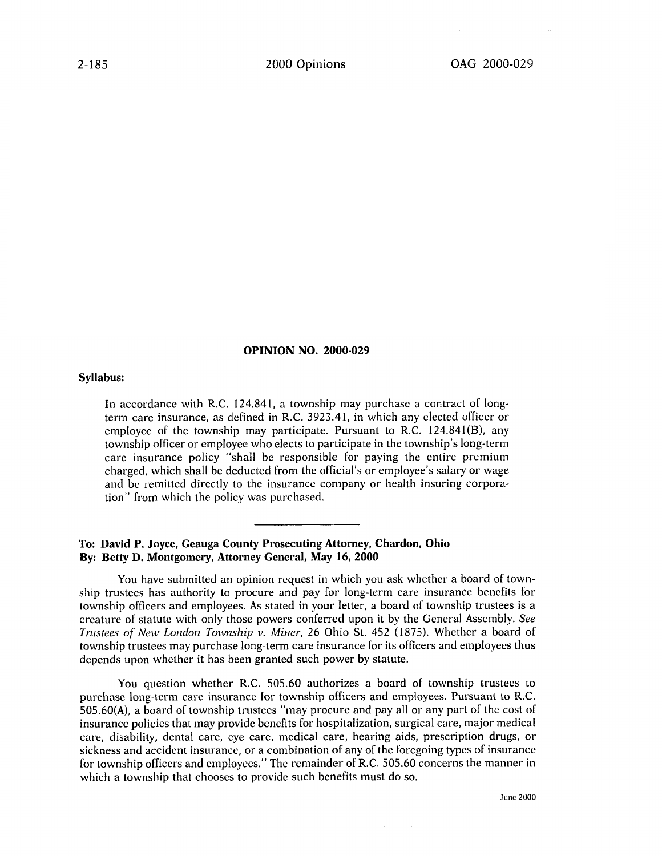## OPINION **NO. 2000-029**

## Syllabus:

In accordance with R.C. 124.841, a township may purchase a contract of longterm care insurance, as defined in R.C. 3923.41, in which any elected officer or employee of the township may participate. Pursuant to R.C. 124.841(B), any township officer or employee who elects to participate in the township's long-term care insurance policy "shall be responsible for paying the entire premium charged, which shall **be** deducted from the official's or employee's salary or wage and **be** remitted directly to the insurance company or health insuring corporation" from which the policy was purchased.

## **To: David P. Joyce, Geauga County Prosecuting Attorney, Chardon, Ohio By: Betty D. Montgomery, Attorney General, May 16, 2000**

You have submitted an opinion request in which you ask whether a board of township trustees has authority to procure and pay for long-term care insurance benefits for township officers and employees. As stated in your letter, a board of township trustees is a creature of statute with only those powers conferred upon it **by** the General Assembly. *See Trustees of New London Township v. Miner,* **26** Ohio St. 452 **(1875).** Whether a board **of** township trustees may purchase long-term care insurance for its officers and employees thus depends upon whether it has been granted such power **by** statute.

You question whether R.C. **505.60** authorizes a board of township trustees to purchase long-term care insurance for township officers and employees. Pursuant to R.C. **505.60(A),** a board of township trustees "may procure and pay all or any part of the cost of insurance policies that may provide benefits for hospitalization, surgical care, major medical care, disability, dental care, **eye** care, medical care, hearing aids, prescription drugs, or sickness and accident insurance, or a combination of any of the foregoing types of insurance for township officers and employees." The remainder of R.C. **505.60** concerns the manner in which a township that chooses to provide such benefits must do so.

June 2000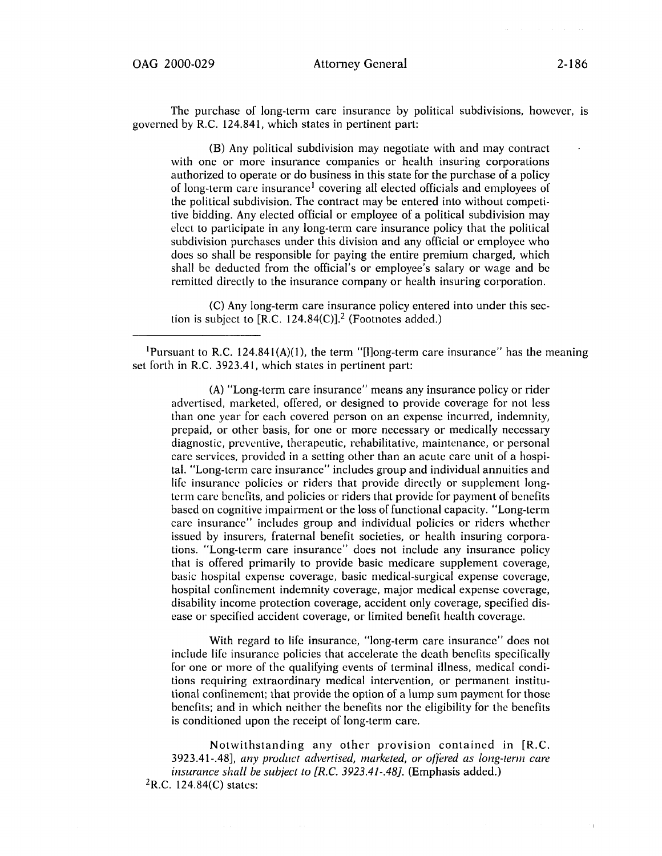The purchase of long-term care insurance **by** political subdivisions, however, is governed **by** R.C. 124.841, which states in pertinent part:

(B) Any political subdivision may negotiate with and may contract with one or more insurance companies or health insuring corporations authorized to operate or do business in this state for the purchase of a policy of long-term care insurancel covering all elected officials and employees of the political subdivision. The contract may be entered into without competitive bidding. Any elected official or employee of a political subdivision may elect to participate in any long-term care insurance policy that the political subdivision purchases under this division and any official or employee who does so shall **be** responsible for paying the entire premium charged, which shall **be** deducted from the official's or employee's salary or wage and **be**  remitted directly to the insurance company or health insuring corporation.

**(C)** Any long-term care insurance policy entered into under this section is subject to  $[R.C. 124.84(C)]$ .<sup>2</sup> (Footnotes added.)

<sup>1</sup>Pursuant to R.C. 124.841(A)(1), the term "[I]ong-term care insurance" has the meaning set forth in R.C. 3923.41, which states in pertinent part:

**(A)** "Long-term care insurance" means any insurance policy or rider advertised, marketed, offered, or designed to provide coverage for not less than one year for each covered person on an expense incurred, indemnity, prepaid, or other basis, for one or more necessary or medically necessary diagnostic, preventive, therapeutic, rehabilitative, maintenance, or personal care services, provided in a setting other than an acute care unit of a hospital. "Long-term care insurance" includes group and individual annuities and life insurance policies or riders that provide directly or supplement longterm care benefits, and policies or riders that provide for payment of benefits based on cognitive impairment or the loss of functional capacity. "Long-term care insurance" includes group and individual policies or riders whether issued **by** insurers, fraternal benefit societies, or health insuring corporations. "Long-term care insurance" does not include any insurance policy that is offered primarily to provide basic medicare supplement coverage, basic hospital expense coverage, basic medical-surgical expense coverage, hospital confinement indemnity coverage, major medical expense coverage, disability income protection coverage, accident only coverage, specified disease or specified accident coverage, or limited benefit health coverage.

With regard to life insurance, "long-term care insurance" does not include life insurance policies that accelerate the death benefits specifically for one or more of the qualifying events of terminal illness, medical conditions requiring extraordinary medical intervention, or permanent institutional confinement; that provide the option of a lump sum payment for those benefits; and in which neither the benefits nor the eligibility for the benefits is conditioned upon the receipt of long-term care.

Notwithstanding any other provision contained in [R.C. 3923.41-.48], any *product advertised, marketed, or offered as long-tern care insurance shall be subject to [R.C. 3923.41-.48].* (Emphasis added.)  ${}^{2}R.C.$  124.84(C) states: